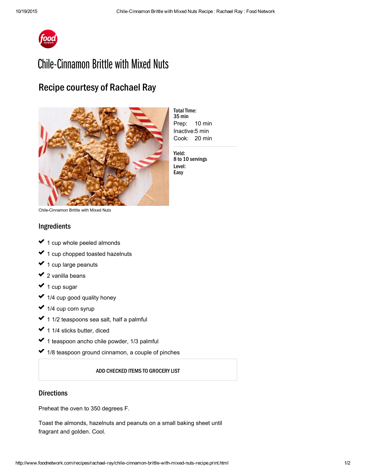

# Chile-Cinnamon Brittle with Mixed Nuts

## Recipe courtesy of Rachael Ray



**Total Time:** 35 min Prep: 10 min Inactive: 5 min Cook: 20 min 

Yield: 8 to 10 servings Level: Easy

Chile-Cinnamon Brittle with Mixed Nuts

#### Ingredients

- 1 cup whole peeled almonds usik<br>Sala ✓ ✓
- 1 cup chopped toasted [hazelnuts](http://www.foodterms.com/encyclopedia/hazelnut/index.html) ✔ 1  $\mathcal{L}^{\mathcal{L}}$
- 1 cup large [peanuts](http://www.foodterms.com/encyclopedia/peanut/index.html) ✓ ✓
- 2 vanilla beans ✔ 2  $\mathcal{L}^{\mathcal{L}}$
- 1 cup sugar ✔ 1  $\mathcal{L}^{\mathcal{L}}$
- 1/4 cup good quality honey ✓ ✓
- 1/4 cup corn syrup ✓  $\mathcal{L}^{\mathcal{L}}$
- 1 1/2 teaspoons [sea](http://www.foodterms.com/encyclopedia/sea-salt/index.html) salt, half a palmful ✔ 1  $\mathcal{L}^{\mathcal{L}}$
- 1 1/4 sticks butter, diced ✓ ✓
- 1 teaspoon [ancho](http://www.foodterms.com/encyclopedia/ancho-chile/index.html) chile powder, 1/3 palmful ✓  $\sim$
- 1/8 teaspoon ground cinnamon, a couple of pinches ✔ 1

#### ADD CHECKED ITEMS TO GROCERY LIST

### **Directions**

Preheat the oven to 350 degrees F.

Toast the almonds, hazelnuts and peanuts on a small baking sheet until fragrant and golden. Cool.